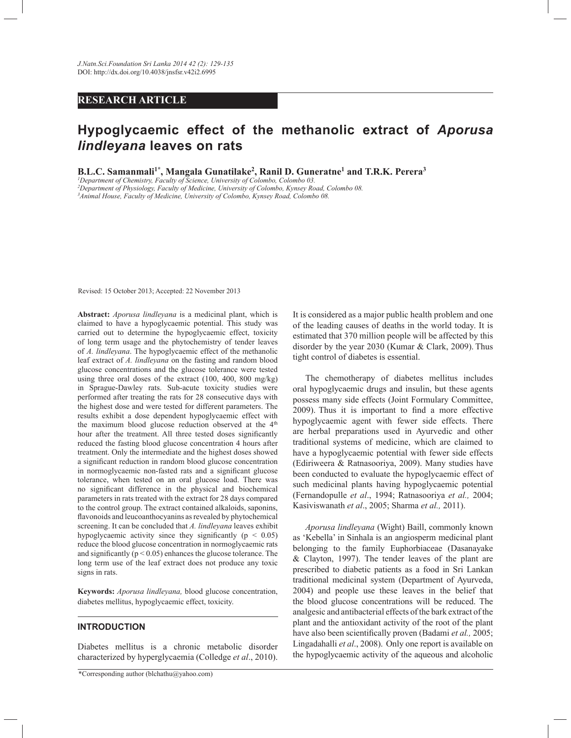# **RESEARCH ARTICLE**

# **Hypoglycaemic effect of the methanolic extract of** *Aporusa lindleyana* **leaves on rats**

**B.L.C. Samanmali<sup>1\*</sup>, Mangala Gunatilake<sup>2</sup>, Ranil D. Guneratne<sup>1</sup> and T.R.K. Perera<sup>3</sup><br><sup>1</sup>Department of Chemistry, Faculty of Science, University of Colombo, Colombo 03.** 

*<sup>2</sup>Department of Physiology, Faculty of Medicine, University of Colombo, Kynsey Road, Colombo 08.*

*<sup>3</sup>Animal House, Faculty of Medicine, University of Colombo, Kynsey Road, Colombo 08.*

Revised: 15 October 2013; Accepted: 22 November 2013

**Abstract:** *Aporusa lindleyana* is a medicinal plant, which is claimed to have a hypoglycaemic potential. This study was carried out to determine the hypoglycaemic effect, toxicity of long term usage and the phytochemistry of tender leaves of *A. lindleyana*. The hypoglycaemic effect of the methanolic leaf extract of *A. lindleyana* on the fasting and random blood glucose concentrations and the glucose tolerance were tested using three oral doses of the extract (100, 400, 800 mg/kg) in Sprague-Dawley rats. Sub-acute toxicity studies were performed after treating the rats for 28 consecutive days with the highest dose and were tested for different parameters. The results exhibit a dose dependent hypoglycaemic effect with the maximum blood glucose reduction observed at the 4<sup>th</sup> hour after the treatment. All three tested doses significantly reduced the fasting blood glucose concentration 4 hours after treatment. Only the intermediate and the highest doses showed a significant reduction in random blood glucose concentration in normoglycaemic non-fasted rats and a significant glucose tolerance, when tested on an oral glucose load. There was no significant difference in the physical and biochemical parameters in rats treated with the extract for 28 days compared to the control group. The extract contained alkaloids, saponins, flavonoids and leucoanthocyanins as revealed by phytochemical screening. It can be concluded that *A. lindleyana* leaves exhibit hypoglycaemic activity since they significantly ( $p < 0.05$ ) reduce the blood glucose concentration in normoglycaemic rats and significantly ( $p < 0.05$ ) enhances the glucose tolerance. The long term use of the leaf extract does not produce any toxic signs in rats.

**Keywords:** *Aporusa lindleyana,* blood glucose concentration, diabetes mellitus, hypoglycaemic effect, toxicity.

#### **INTRODUCTION**

Diabetes mellitus is a chronic metabolic disorder characterized by hyperglycaemia (Colledge *et al*., 2010).

\*Corresponding author (blchathu@yahoo.com)

It is considered as a major public health problem and one of the leading causes of deaths in the world today. It is estimated that 370 million people will be affected by this disorder by the year 2030 (Kumar & Clark, 2009). Thus tight control of diabetes is essential.

 The chemotherapy of diabetes mellitus includes oral hypoglycaemic drugs and insulin, but these agents possess many side effects (Joint Formulary Committee, 2009). Thus it is important to find a more effective hypoglycaemic agent with fewer side effects. There are herbal preparations used in Ayurvedic and other traditional systems of medicine, which are claimed to have a hypoglycaemic potential with fewer side effects (Ediriweera & Ratnasooriya, 2009). Many studies have been conducted to evaluate the hypoglycaemic effect of such medicinal plants having hypoglycaemic potential (Fernandopulle *et al*., 1994; Ratnasooriya *et al.,* 2004; Kasiviswanath *et al*., 2005; Sharma *et al.,* 2011).

 *Aporusa lindleyana* (Wight) Baill, commonly known as 'Kebella' in Sinhala is an angiosperm medicinal plant belonging to the family Euphorbiaceae (Dasanayake & Clayton, 1997). The tender leaves of the plant are prescribed to diabetic patients as a food in Sri Lankan traditional medicinal system (Department of Ayurveda, 2004) and people use these leaves in the belief that the blood glucose concentrations will be reduced. The analgesic and antibacterial effects of the bark extract of the plant and the antioxidant activity of the root of the plant have also been scientifically proven (Badami *et al.,* 2005; Lingadahalli *et al*., 2008). Only one report is available on the hypoglycaemic activity of the aqueous and alcoholic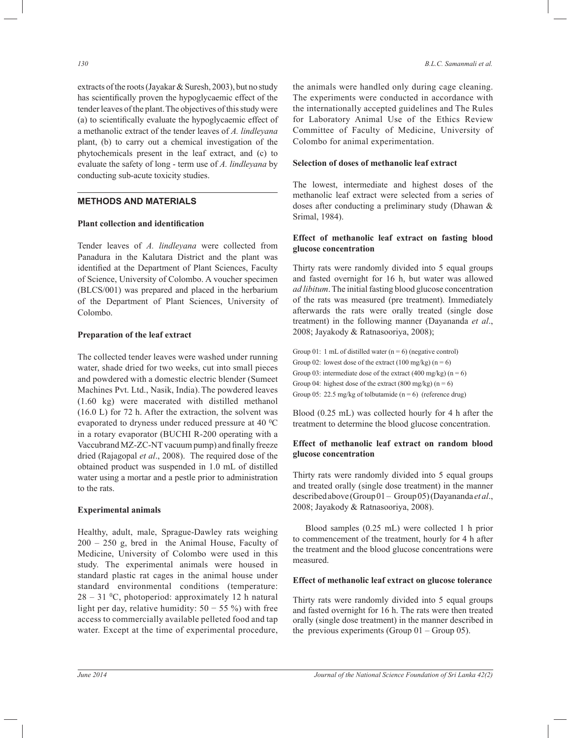extracts of the roots (Jayakar & Suresh, 2003), but no study has scientifically proven the hypoglycaemic effect of the tender leaves of the plant.The objectives of this study were (a) to scientifically evaluate the hypoglycaemic effect of a methanolic extract of the tender leaves of *A. lindleyana* plant, (b) to carry out a chemical investigation of the phytochemicals present in the leaf extract, and (c) to evaluate the safety of long - term use of *A. lindleyana* by conducting sub-acute toxicity studies.

# **METHODS AND MATERIALS**

#### **Plant collection and identification**

Tender leaves of *A. lindleyana* were collected from Panadura in the Kalutara District and the plant was identified at the Department of Plant Sciences, Faculty of Science, University of Colombo. A voucher specimen (BLCS/001) was prepared and placed in the herbarium of the Department of Plant Sciences, University of Colombo.

#### **Preparation of the leaf extract**

The collected tender leaves were washed under running water, shade dried for two weeks, cut into small pieces and powdered with a domestic electric blender (Sumeet Machines Pvt. Ltd., Nasik, India).The powdered leaves (1.60 kg) were macerated with distilled methanol (16.0 L) for 72 h. After the extraction, the solvent was evaporated to dryness under reduced pressure at 40 °C in a rotary evaporator (BUCHI R-200 operating with a Vaccubrand MZ-ZC-NT vacuum pump) and finally freeze dried (Rajagopal *et al*., 2008). The required dose of the obtained product was suspended in 1.0 mL of distilled water using a mortar and a pestle prior to administration to the rats.

#### **Experimental animals**

Healthy, adult, male, Sprague-Dawley rats weighing 200 – 250 g, bred in the Animal House, Faculty of Medicine, University of Colombo were used in this study. The experimental animals were housed in standard plastic rat cages in the animal house under standard environmental conditions (temperature:  $28 - 31$  °C, photoperiod: approximately 12 h natural light per day, relative humidity:  $50 - 55$  %) with free access to commercially available pelleted food and tap water. Except at the time of experimental procedure, the animals were handled only during cage cleaning. The experiments were conducted in accordance with the internationally accepted guidelines and The Rules for Laboratory Animal Use of the Ethics Review Committee of Faculty of Medicine, University of Colombo for animal experimentation.

#### **Selection of doses of methanolic leaf extract**

The lowest, intermediate and highest doses of the methanolic leaf extract were selected from a series of doses after conducting a preliminary study (Dhawan & Srimal, 1984).

#### **Effect of methanolic leaf extract on fasting blood glucose concentration**

Thirty rats were randomly divided into 5 equal groups and fasted overnight for 16 h, but water was allowed *ad libitum*. The initial fasting blood glucose concentration of the rats was measured (pre treatment). Immediately afterwards the rats were orally treated (single dose treatment) in the following manner (Dayananda *et al*., 2008; Jayakody & Ratnasooriya, 2008);

Group 01: 1 mL of distilled water  $(n = 6)$  (negative control) Group 02: lowest dose of the extract  $(100 \text{ mg/kg}) (n = 6)$ Group 03: intermediate dose of the extract (400 mg/kg) ( $n = 6$ ) Group 04: highest dose of the extract (800 mg/kg)  $(n = 6)$ Group 05: 22.5 mg/kg of tolbutamide  $(n = 6)$  (reference drug)

Blood (0.25 mL) was collected hourly for 4 h after the treatment to determine the blood glucose concentration.

# **Effect of methanolic leaf extract on random blood glucose concentration**

Thirty rats were randomly divided into 5 equal groups and treated orally (single dose treatment) in the manner described above (Group 01 – Group 05) (Dayananda *et al*., 2008; Jayakody & Ratnasooriya, 2008).

 Blood samples (0.25 mL) were collected 1 h prior to commencement of the treatment, hourly for 4 h after the treatment and the blood glucose concentrations were measured.

#### **Effect of methanolic leaf extract on glucose tolerance**

Thirty rats were randomly divided into 5 equal groups and fasted overnight for 16 h. The rats were then treated orally (single dose treatment) in the manner described in the previous experiments (Group 01 – Group 05).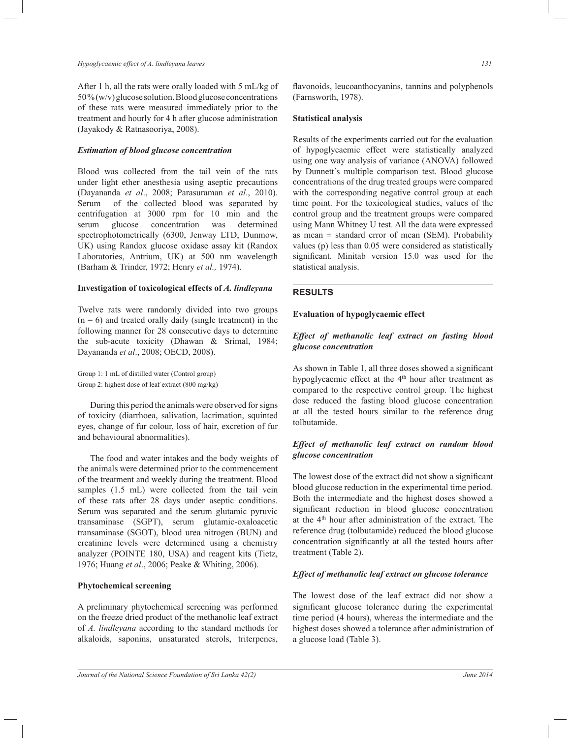#### *Hypoglycaemic effect of A. lindleyana leaves 131*

After 1 h, all the rats were orally loaded with 5 mL/kg of 50 % (w/v) glucose solution. Blood glucose concentrations of these rats were measured immediately prior to the treatment and hourly for 4 h after glucose administration (Jayakody & Ratnasooriya, 2008).

#### *Estimation of blood glucose concentration*

Blood was collected from the tail vein of the rats under light ether anesthesia using aseptic precautions (Dayananda *et al*., 2008; Parasuraman *et al*., 2010). Serum of the collected blood was separated by centrifugation at 3000 rpm for 10 min and the serum glucose concentration was determined spectrophotometrically (6300, Jenway LTD, Dunmow, UK) using Randox glucose oxidase assay kit (Randox Laboratories, Antrium, UK) at 500 nm wavelength (Barham & Trinder, 1972; Henry *et al.,* 1974).

# **Investigation of toxicological effects of** *A. lindleyana*

Twelve rats were randomly divided into two groups  $(n = 6)$  and treated orally daily (single treatment) in the following manner for 28 consecutive days to determine the sub-acute toxicity (Dhawan & Srimal, 1984; Dayananda *et al*., 2008; OECD, 2008).

Group 1: 1 mL of distilled water (Control group) Group 2: highest dose of leaf extract (800 mg/kg)

 During this period the animals were observed for signs of toxicity (diarrhoea, salivation, lacrimation, squinted eyes, change of fur colour, loss of hair, excretion of fur and behavioural abnormalities).

 The food and water intakes and the body weights of the animals were determined prior to the commencement of the treatment and weekly during the treatment. Blood samples (1.5 mL) were collected from the tail vein of these rats after 28 days under aseptic conditions. Serum was separated and the serum glutamic pyruvic transaminase (SGPT), serum glutamic-oxaloacetic transaminase (SGOT), blood urea nitrogen (BUN) and creatinine levels were determined using a chemistry analyzer (POINTE 180, USA) and reagent kits (Tietz, 1976; Huang *et al*., 2006; Peake & Whiting, 2006).

# **Phytochemical screening**

A preliminary phytochemical screening was performed on the freeze dried product of the methanolic leaf extract of *A. lindleyana* according to the standard methods for alkaloids, saponins, unsaturated sterols, triterpenes,

flavonoids, leucoanthocyanins, tannins and polyphenols (Farnsworth, 1978).

#### **Statistical analysis**

Results of the experiments carried out for the evaluation of hypoglycaemic effect were statistically analyzed using one way analysis of variance (ANOVA) followed by Dunnett's multiple comparison test. Blood glucose concentrations of the drug treated groups were compared with the corresponding negative control group at each time point. For the toxicological studies, values of the control group and the treatment groups were compared using Mann Whitney U test. All the data were expressed as mean  $\pm$  standard error of mean (SEM). Probability values (p) less than 0.05 were considered as statistically significant. Minitab version 15.0 was used for the statistical analysis.

# **RESULTS**

#### **Evaluation of hypoglycaemic effect**

# *Effect of methanolic leaf extract on fasting blood glucose concentration*

As shown in Table 1, all three doses showed a significant hypoglycaemic effect at the 4<sup>th</sup> hour after treatment as compared to the respective control group. The highest dose reduced the fasting blood glucose concentration at all the tested hours similar to the reference drug tolbutamide.

# *Effect of methanolic leaf extract on random blood glucose concentration*

The lowest dose of the extract did not show a significant blood glucose reduction in the experimental time period. Both the intermediate and the highest doses showed a significant reduction in blood glucose concentration at the 4th hour after administration of the extract. The reference drug (tolbutamide) reduced the blood glucose concentration significantly at all the tested hours after treatment (Table 2).

# *Effect of methanolic leaf extract on glucose tolerance*

The lowest dose of the leaf extract did not show a significant glucose tolerance during the experimental time period (4 hours), whereas the intermediate and the highest doses showed a tolerance after administration of a glucose load (Table 3).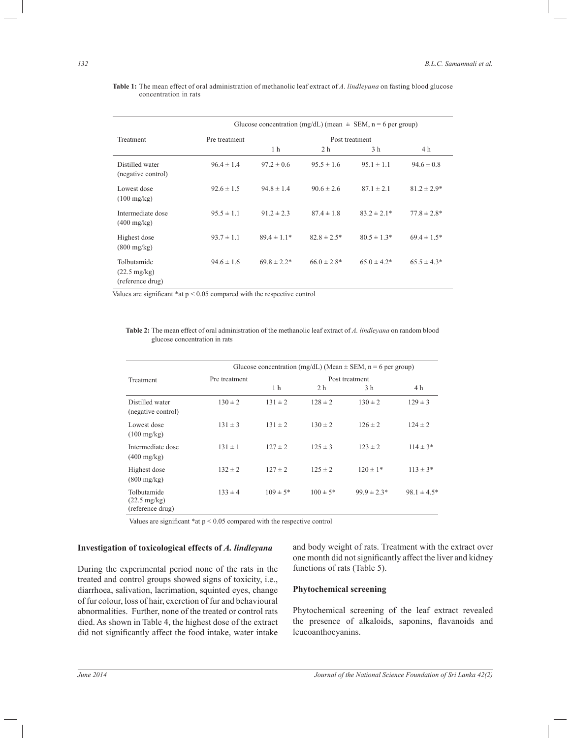|                                                           | Glucose concentration (mg/dL) (mean $\pm$ SEM, n = 6 per group) |                  |                 |                 |                  |
|-----------------------------------------------------------|-----------------------------------------------------------------|------------------|-----------------|-----------------|------------------|
| Treatment                                                 | Post treatment<br>Pre treatment                                 |                  |                 |                 |                  |
|                                                           |                                                                 | 1 h              | 2 h             | 3 h             | 4 h              |
| Distilled water<br>(negative control)                     | $96.4 \pm 1.4$                                                  | $97.2 \pm 0.6$   | $95.5 \pm 1.6$  | $95.1 \pm 1.1$  | $94.6 \pm 0.8$   |
| Lowest dose<br>$(100 \text{ mg/kg})$                      | $92.6 \pm 1.5$                                                  | $94.8 \pm 1.4$   | $90.6 \pm 2.6$  | $87.1 \pm 2.1$  | $81.2 \pm 2.9*$  |
| Intermediate dose<br>$(400 \text{ mg/kg})$                | $95.5 \pm 1.1$                                                  | $91.2 \pm 2.3$   | $87.4 \pm 1.8$  | $83.2 \pm 2.1*$ | $77.8 \pm 2.8*$  |
| Highest dose<br>$(800 \text{ mg/kg})$                     | $93.7 \pm 1.1$                                                  | $89.4 \pm 1.1*$  | $82.8 \pm 2.5*$ | $80.5 \pm 1.3*$ | $69.4 \pm 1.5^*$ |
| Tolbutamide<br>$(22.5 \text{ mg/kg})$<br>(reference drug) | $94.6 \pm 1.6$                                                  | $69.8 \pm 2.2^*$ | $66.0 \pm 2.8*$ | $65.0 \pm 4.2*$ | $65.5 \pm 4.3*$  |

**Table 1:** The mean effect of oral administration of methanolic leaf extract of *A. lindleyana* on fasting blood glucose concentration in rats

Values are significant \*at p < 0.05 compared with the respective control

**Table 2:** The mean effect of oral administration of the methanolic leaf extract of *A. lindleyana* on random blood glucose concentration in rats

|                                                           |               | Glucose concentration (mg/dL) (Mean $\pm$ SEM, n = 6 per group) |                |                 |                  |  |
|-----------------------------------------------------------|---------------|-----------------------------------------------------------------|----------------|-----------------|------------------|--|
| Treatment                                                 | Pre treatment | Post treatment                                                  |                |                 |                  |  |
|                                                           |               | 1 h                                                             | 2 <sub>h</sub> | 3 h             | 4 <sub>h</sub>   |  |
| Distilled water<br>(negative control)                     | $130 \pm 2$   | $131 \pm 2$                                                     | $128 \pm 2$    | $130 \pm 2$     | $129 \pm 3$      |  |
| Lowest dose<br>$(100 \text{ mg/kg})$                      | $131 \pm 3$   | $131 \pm 2$                                                     | $130 \pm 2$    | $126 \pm 2$     | $124 \pm 2$      |  |
| Intermediate dose<br>$(400 \text{ mg/kg})$                | $131 \pm 1$   | $127 \pm 2$                                                     | $125 \pm 3$    | $123 \pm 2$     | $114 \pm 3*$     |  |
| Highest dose<br>$(800 \text{ mg/kg})$                     | $132 \pm 2$   | $127 \pm 2$                                                     | $125 \pm 2$    | $120 \pm 1*$    | $113 \pm 3*$     |  |
| Tolbutamide<br>$(22.5 \text{ mg/kg})$<br>(reference drug) | $133 \pm 4$   | $109 \pm 5*$                                                    | $100 \pm 5*$   | $99.9 \pm 2.3*$ | $98.1 \pm 4.5^*$ |  |

Values are significant \*at p < 0.05 compared with the respective control

#### **Investigation of toxicological effects of** *A. lindleyana*

During the experimental period none of the rats in the treated and control groups showed signs of toxicity, i.e., diarrhoea, salivation, lacrimation, squinted eyes, change of fur colour, loss of hair, excretion of fur and behavioural abnormalities. Further, none of the treated or control rats died. As shown in Table 4, the highest dose of the extract did not significantly affect the food intake, water intake

and body weight of rats. Treatment with the extract over one month did not significantly affect the liver and kidney functions of rats (Table 5).

#### **Phytochemical screening**

Phytochemical screening of the leaf extract revealed the presence of alkaloids, saponins, flavanoids and leucoanthocyanins.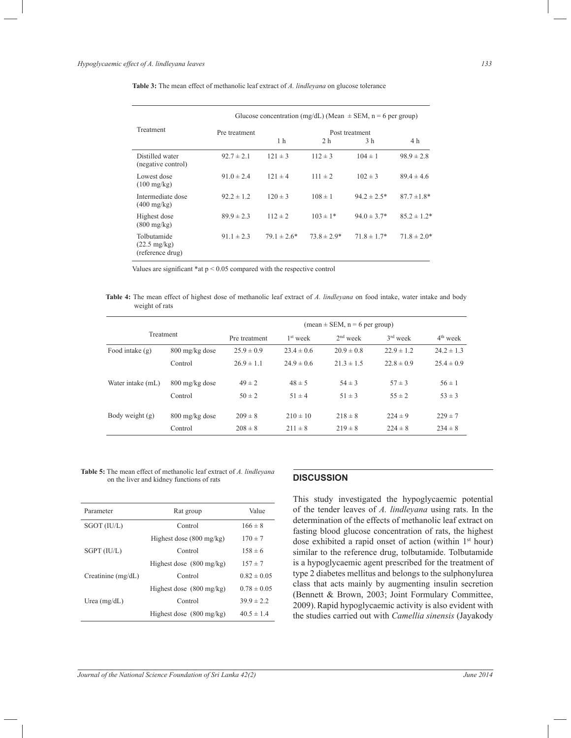|                                                           | Glucose concentration (mg/dL) (Mean $\pm$ SEM, n = 6 per group) |                 |                 |                  |                 |  |
|-----------------------------------------------------------|-----------------------------------------------------------------|-----------------|-----------------|------------------|-----------------|--|
| <b>Treatment</b>                                          | Pre treatment                                                   | Post treatment  |                 |                  |                 |  |
|                                                           |                                                                 | 1 h             | 2 <sub>h</sub>  | 3 h              | 4 h             |  |
| Distilled water<br>(negative control)                     | $92.7 \pm 2.1$                                                  | $121 \pm 3$     | $112 \pm 3$     | $104 \pm 1$      | $98.9 \pm 2.8$  |  |
| Lowest dose<br>$(100 \text{ mg/kg})$                      | $91.0 \pm 2.4$                                                  | $121 \pm 4$     | $111 \pm 2$     | $102 \pm 3$      | $89.4 \pm 4.6$  |  |
| Intermediate dose<br>$(400 \text{ mg/kg})$                | $92.2 \pm 1.2$                                                  | $120 \pm 3$     | $108 \pm 1$     | $94.2 \pm 2.5^*$ | $87.7 \pm 1.8*$ |  |
| Highest dose<br>$(800 \text{ mg/kg})$                     | $89.9 \pm 2.3$                                                  | $112 \pm 2$     | $103 \pm 1*$    | $94.0 \pm 3.7*$  | $85.2 \pm 1.2*$ |  |
| Tolbutamide<br>$(22.5 \text{ mg/kg})$<br>(reference drug) | $91.1 \pm 2.3$                                                  | $79.1 \pm 2.6*$ | $73.8 \pm 2.9*$ | $71.8 \pm 1.7*$  | $71.8 \pm 2.0*$ |  |

**Table 3:** The mean effect of methanolic leaf extract of *A. lindleyana* on glucose tolerance

Values are significant \*at p < 0.05 compared with the respective control

**Table 4:** The mean effect of highest dose of methanolic leaf extract of *A. lindleyana* on food intake, water intake and body weight of rats

|                   |                          |                |                      | $mean \pm SEM$ , $n = 6$ per group) |                |                |
|-------------------|--------------------------|----------------|----------------------|-------------------------------------|----------------|----------------|
| <b>Treatment</b>  |                          | Pre treatment  | 1 <sup>st</sup> week | $2nd$ week                          | $3rd$ week     | $4th$ week     |
| Food intake $(g)$ | 800 mg/kg dose           | $25.9 \pm 0.9$ | $23.4 \pm 0.6$       | $20.9 \pm 0.8$                      | $22.9 \pm 1.2$ | $24.2 \pm 1.3$ |
|                   | Control                  | $26.9 \pm 1.1$ | $24.9 \pm 0.6$       | $21.3 \pm 1.5$                      | $22.8 \pm 0.9$ | $25.4 \pm 0.9$ |
| Water intake (mL) | $800 \text{ mg/kg}$ dose | $49 \pm 2$     | $48 \pm 5$           | $54 \pm 3$                          | $57 \pm 3$     | $56 \pm 1$     |
|                   | Control                  | $50 \pm 2$     | $51 \pm 4$           | $51 \pm 3$                          | $55 \pm 2$     | $53 \pm 3$     |
| Body weight (g)   | 800 mg/kg dose           | $209 \pm 8$    | $210 \pm 10$         | $218 \pm 8$                         | $224 \pm 9$    | $229 \pm 7$    |
|                   | Control                  | $208 \pm 8$    | $211 \pm 8$          | $219 \pm 8$                         | $224 \pm 8$    | $234 \pm 8$    |

**Table 5:** The mean effect of methanolic leaf extract of *A. lindleyana* on the liver and kidney functions of rats **DISCUSSION** 

| Parameter            | Rat group                          | Value           |
|----------------------|------------------------------------|-----------------|
| SGOT (IU/L)          | Control                            | $166 \pm 8$     |
|                      | Highest dose $(800 \text{ mg/kg})$ | $170 \pm 7$     |
| SGPT (IU/L)          | Control                            | $158 \pm 6$     |
|                      | Highest dose $(800 \text{ mg/kg})$ | $157 \pm 7$     |
| Creatinine $(mg/dL)$ | Control                            | $0.82 \pm 0.05$ |
|                      | Highest dose $(800 \text{ mg/kg})$ | $0.78 \pm 0.05$ |
| Urea $(mg/dL)$       | Control                            | $39.9 \pm 2.2$  |
|                      | Highest dose $(800 \text{ mg/kg})$ | $40.5 \pm 1.4$  |

This study investigated the hypoglycaemic potential of the tender leaves of *A. lindleyana* using rats. In the determination of the effects of methanolic leaf extract on fasting blood glucose concentration of rats, the highest dose exhibited a rapid onset of action (within 1<sup>st</sup> hour) similar to the reference drug, tolbutamide. Tolbutamide is a hypoglycaemic agent prescribed for the treatment of type 2 diabetes mellitus and belongs to the sulphonylurea class that acts mainly by augmenting insulin secretion (Bennett & Brown, 2003; Joint Formulary Committee, 2009).Rapid hypoglycaemic activity is also evident with the studies carried out with *Camellia sinensis* (Jayakody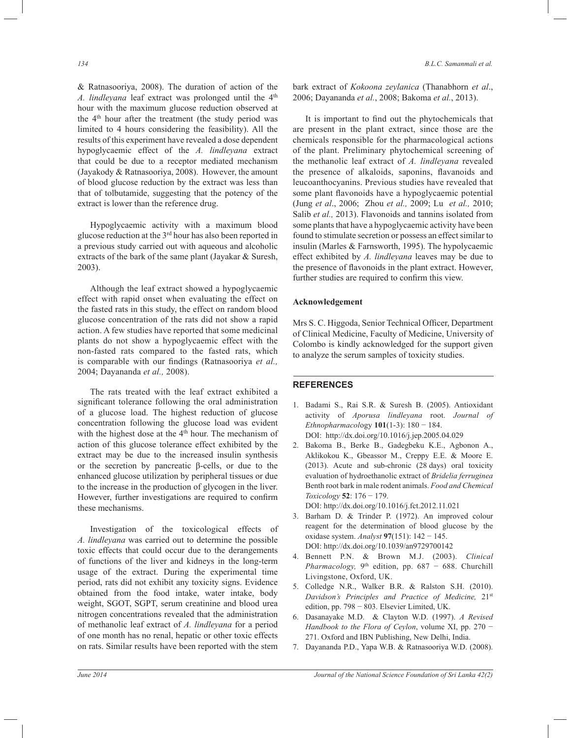& Ratnasooriya, 2008). The duration of action of the A. lindleyana leaf extract was prolonged until the 4<sup>th</sup> hour with the maximum glucose reduction observed at the 4<sup>th</sup> hour after the treatment (the study period was limited to 4 hours considering the feasibility). All the results of this experiment have revealed a dose dependent hypoglycaemic effect of the *A. lindleyana* extract that could be due to a receptor mediated mechanism (Jayakody & Ratnasooriya, 2008). However, the amount of blood glucose reduction by the extract was less than that of tolbutamide, suggesting that the potency of the extract is lower than the reference drug.

 Hypoglycaemic activity with a maximum blood glucose reduction at the 3rd hour has also been reported in a previous study carried out with aqueous and alcoholic extracts of the bark of the same plant (Jayakar & Suresh, 2003).

 Although the leaf extract showed a hypoglycaemic effect with rapid onset when evaluating the effect on the fasted rats in this study, the effect on random blood glucose concentration of the rats did not show a rapid action. A few studies have reported that some medicinal plants do not show a hypoglycaemic effect with the non-fasted rats compared to the fasted rats, which is comparable with our findings (Ratnasooriya *et al.,* 2004; Dayananda *et al.,* 2008).

 The rats treated with the leaf extract exhibited a significant tolerance following the oral administration of a glucose load. The highest reduction of glucose concentration following the glucose load was evident with the highest dose at the  $4<sup>th</sup>$  hour. The mechanism of action of this glucose tolerance effect exhibited by the extract may be due to the increased insulin synthesis or the secretion by pancreatic β-cells, or due to the enhanced glucose utilization by peripheral tissues or due to the increase in the production of glycogen in the liver. However, further investigations are required to confirm these mechanisms.

 Investigation of the toxicological effects of *A. lindleyana* was carried out to determine the possible toxic effects that could occur due to the derangements of functions of the liver and kidneys in the long-term usage of the extract. During the experimental time period, rats did not exhibit any toxicity signs. Evidence obtained from the food intake, water intake, body weight, SGOT, SGPT, serum creatinine and blood urea nitrogen concentrations revealed that the administration of methanolic leaf extract of *A. lindleyana* for a period of one month has no renal, hepatic or other toxic effects on rats. Similar results have been reported with the stem

bark extract of *Kokoona zeylanica* (Thanabhorn *et al*., 2006; Dayananda *et al.*, 2008; Bakoma *et al.*, 2013).

 It is important to find out the phytochemicals that are present in the plant extract, since those are the chemicals responsible for the pharmacological actions of the plant. Preliminary phytochemical screening of the methanolic leaf extract of *A. lindleyana* revealed the presence of alkaloids, saponins, flavanoids and leucoanthocyanins. Previous studies have revealed that some plant flavonoids have a hypoglycaemic potential (Jung *et al*., 2006; Zhou *et al.,* 2009; Lu *et al.,* 2010; Salib *et al.,* 2013). Flavonoids and tannins isolated from some plants that have a hypoglycaemic activity have been found to stimulate secretion or possess an effect similar to insulin (Marles & Farnsworth, 1995). The hypolycaemic effect exhibited by *A. lindleyana* leaves may be due to the presence of flavonoids in the plant extract. However, further studies are required to confirm this view.

#### **Acknowledgement**

Mrs S. C. Higgoda, Senior Technical Officer, Department of Clinical Medicine, Faculty of Medicine, University of Colombo is kindly acknowledged for the support given to analyze the serum samples of toxicity studies.

#### **REFERENCES**

- 1. Badami S., Rai S.R. & Suresh B. (2005). Antioxidant activity of *Aporusa lindleyana* root. *Journal of Ethnopharmacol*ogy **101**(1-3): 180 − 184. DOI: http://dx.doi.org/10.1016/j.jep.2005.04.029
- 2. Bakoma B., Berke B., Gadegbeku K.E., Agbonon A., Aklikokou K., Gbeassor M., Creppy E.E. & Moore E. (2013). Acute and sub-chronic (28 days) oral toxicity evaluation of hydroethanolic extract of *Bridelia ferruginea* Benth root bark in male rodent animals. *Food and Chemical Toxicology* **52**: 176 − 179.

DOI: http://dx.doi.org/10.1016/j.fct.2012.11.021

- 3. Barham D. & Trinder P. (1972). An improved colour reagent for the determination of blood glucose by the oxidase system. *Analyst* **97**(151): 142 − 145. DOI: http://dx.doi.org/10.1039/an9729700142
- 4. Bennett P.N. & Brown M.J. (2003). *Clinical Pharmacology*, 9<sup>th</sup> edition, pp. 687 − 688. Churchill Livingstone, Oxford, UK.
- 5. Colledge N.R., Walker B.R. & Ralston S.H. (2010). *Davidson's Principles and Practice of Medicine,* 21st edition, pp. 798 − 803. Elsevier Limited, UK.
- 6. Dasanayake M.D. & Clayton W.D. (1997). *A Revised Handbook to the Flora of Ceylon*, volume XI, pp. 270 − 271. Oxford and IBN Publishing, New Delhi, India.
- 7. Dayananda P.D., Yapa W.B. & Ratnasooriya W.D. (2008).